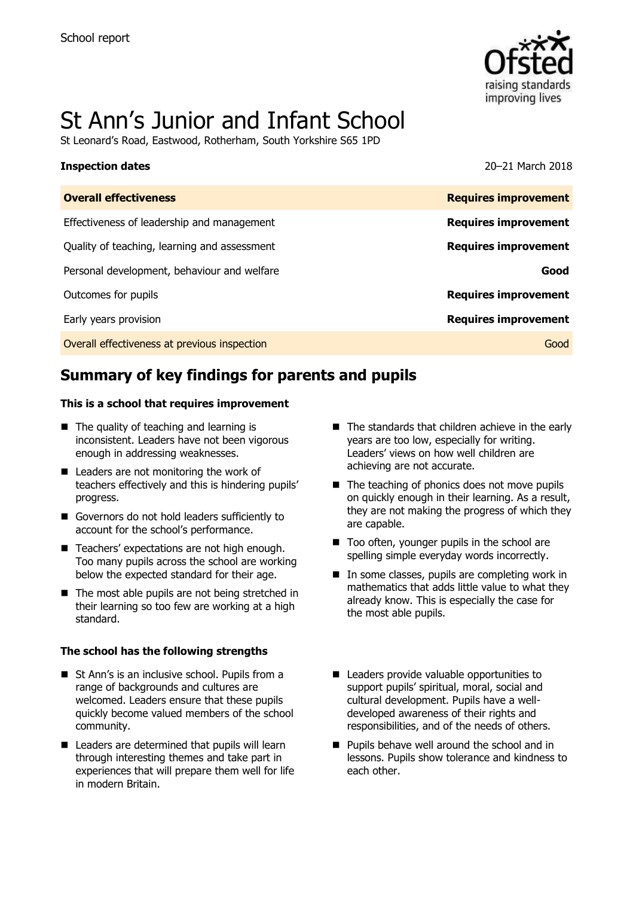

# St Ann's Junior and Infant School

St Leonard's Road, Eastwood, Rotherham, South Yorkshire S65 1PD

### **Inspection dates** 20–21 March 2018

| <b>Overall effectiveness</b>                 | <b>Requires improvement</b> |
|----------------------------------------------|-----------------------------|
| Effectiveness of leadership and management   | <b>Requires improvement</b> |
| Quality of teaching, learning and assessment | <b>Requires improvement</b> |
| Personal development, behaviour and welfare  | Good                        |
| Outcomes for pupils                          | <b>Requires improvement</b> |
| Early years provision                        | <b>Requires improvement</b> |
| Overall effectiveness at previous inspection | Good                        |
|                                              |                             |

# **Summary of key findings for parents and pupils**

### **This is a school that requires improvement**

- The quality of teaching and learning is inconsistent. Leaders have not been vigorous enough in addressing weaknesses.
- Leaders are not monitoring the work of teachers effectively and this is hindering pupils' progress.
- Governors do not hold leaders sufficiently to account for the school's performance.
- Teachers' expectations are not high enough. Too many pupils across the school are working below the expected standard for their age.
- The most able pupils are not being stretched in their learning so too few are working at a high standard.

### **The school has the following strengths**

- St Ann's is an inclusive school. Pupils from a range of backgrounds and cultures are welcomed. Leaders ensure that these pupils quickly become valued members of the school community.
- $\blacksquare$  Leaders are determined that pupils will learn through interesting themes and take part in experiences that will prepare them well for life in modern Britain.
- The standards that children achieve in the early years are too low, especially for writing. Leaders' views on how well children are achieving are not accurate.
- $\blacksquare$  The teaching of phonics does not move pupils on quickly enough in their learning. As a result, they are not making the progress of which they are capable.
- Too often, younger pupils in the school are spelling simple everyday words incorrectly.
- $\blacksquare$  In some classes, pupils are completing work in mathematics that adds little value to what they already know. This is especially the case for the most able pupils.
- Leaders provide valuable opportunities to support pupils' spiritual, moral, social and cultural development. Pupils have a welldeveloped awareness of their rights and responsibilities, and of the needs of others.
- **Pupils behave well around the school and in** lessons. Pupils show tolerance and kindness to each other.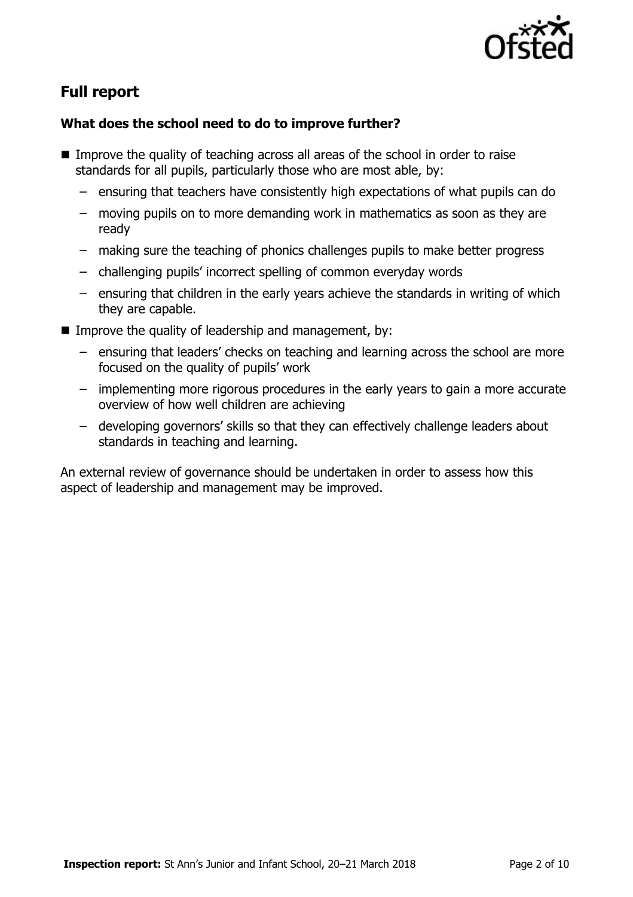

# **Full report**

### **What does the school need to do to improve further?**

- Improve the quality of teaching across all areas of the school in order to raise standards for all pupils, particularly those who are most able, by:
	- ensuring that teachers have consistently high expectations of what pupils can do
	- moving pupils on to more demanding work in mathematics as soon as they are ready
	- making sure the teaching of phonics challenges pupils to make better progress
	- challenging pupils' incorrect spelling of common everyday words
	- ensuring that children in the early years achieve the standards in writing of which they are capable.
- Improve the quality of leadership and management, by:
	- ensuring that leaders' checks on teaching and learning across the school are more focused on the quality of pupils' work
	- implementing more rigorous procedures in the early years to gain a more accurate overview of how well children are achieving
	- developing governors' skills so that they can effectively challenge leaders about standards in teaching and learning.

An external review of governance should be undertaken in order to assess how this aspect of leadership and management may be improved.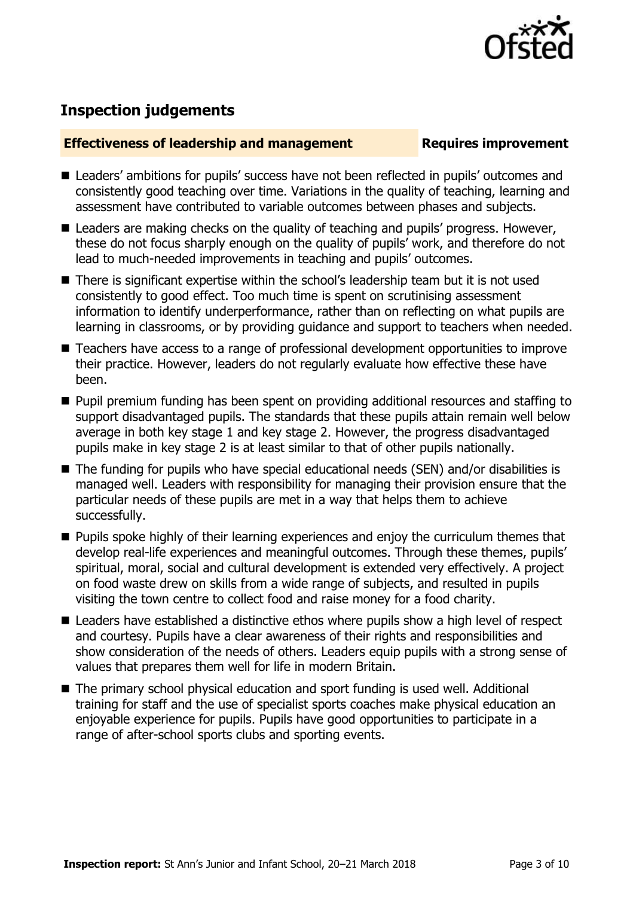

## **Inspection judgements**

### **Effectiveness of leadership and management Requires improvement**

- Leaders' ambitions for pupils' success have not been reflected in pupils' outcomes and consistently good teaching over time. Variations in the quality of teaching, learning and assessment have contributed to variable outcomes between phases and subjects.
- Leaders are making checks on the quality of teaching and pupils' progress. However, these do not focus sharply enough on the quality of pupils' work, and therefore do not lead to much-needed improvements in teaching and pupils' outcomes.
- There is significant expertise within the school's leadership team but it is not used consistently to good effect. Too much time is spent on scrutinising assessment information to identify underperformance, rather than on reflecting on what pupils are learning in classrooms, or by providing guidance and support to teachers when needed.
- Teachers have access to a range of professional development opportunities to improve their practice. However, leaders do not regularly evaluate how effective these have been.
- **Pupil premium funding has been spent on providing additional resources and staffing to** support disadvantaged pupils. The standards that these pupils attain remain well below average in both key stage 1 and key stage 2. However, the progress disadvantaged pupils make in key stage 2 is at least similar to that of other pupils nationally.
- The funding for pupils who have special educational needs (SEN) and/or disabilities is managed well. Leaders with responsibility for managing their provision ensure that the particular needs of these pupils are met in a way that helps them to achieve successfully.
- **Pupils spoke highly of their learning experiences and enjoy the curriculum themes that** develop real-life experiences and meaningful outcomes. Through these themes, pupils' spiritual, moral, social and cultural development is extended very effectively. A project on food waste drew on skills from a wide range of subjects, and resulted in pupils visiting the town centre to collect food and raise money for a food charity.
- Leaders have established a distinctive ethos where pupils show a high level of respect and courtesy. Pupils have a clear awareness of their rights and responsibilities and show consideration of the needs of others. Leaders equip pupils with a strong sense of values that prepares them well for life in modern Britain.
- The primary school physical education and sport funding is used well. Additional training for staff and the use of specialist sports coaches make physical education an enjoyable experience for pupils. Pupils have good opportunities to participate in a range of after-school sports clubs and sporting events.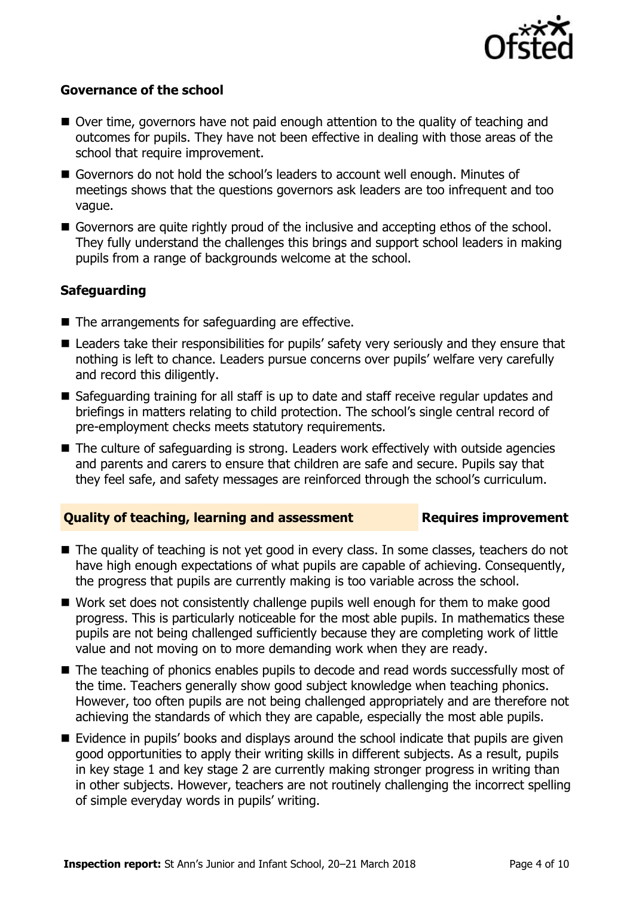

### **Governance of the school**

- Over time, governors have not paid enough attention to the quality of teaching and outcomes for pupils. They have not been effective in dealing with those areas of the school that require improvement.
- Governors do not hold the school's leaders to account well enough. Minutes of meetings shows that the questions governors ask leaders are too infrequent and too vague.
- Governors are quite rightly proud of the inclusive and accepting ethos of the school. They fully understand the challenges this brings and support school leaders in making pupils from a range of backgrounds welcome at the school.

### **Safeguarding**

- $\blacksquare$  The arrangements for safeguarding are effective.
- Leaders take their responsibilities for pupils' safety very seriously and they ensure that nothing is left to chance. Leaders pursue concerns over pupils' welfare very carefully and record this diligently.
- Safeguarding training for all staff is up to date and staff receive regular updates and briefings in matters relating to child protection. The school's single central record of pre-employment checks meets statutory requirements.
- The culture of safeguarding is strong. Leaders work effectively with outside agencies and parents and carers to ensure that children are safe and secure. Pupils say that they feel safe, and safety messages are reinforced through the school's curriculum.

### **Quality of teaching, learning and assessment Requires improvement**

- The quality of teaching is not yet good in every class. In some classes, teachers do not have high enough expectations of what pupils are capable of achieving. Consequently, the progress that pupils are currently making is too variable across the school.
- Work set does not consistently challenge pupils well enough for them to make good progress. This is particularly noticeable for the most able pupils. In mathematics these pupils are not being challenged sufficiently because they are completing work of little value and not moving on to more demanding work when they are ready.
- The teaching of phonics enables pupils to decode and read words successfully most of the time. Teachers generally show good subject knowledge when teaching phonics. However, too often pupils are not being challenged appropriately and are therefore not achieving the standards of which they are capable, especially the most able pupils.
- Evidence in pupils' books and displays around the school indicate that pupils are given good opportunities to apply their writing skills in different subjects. As a result, pupils in key stage 1 and key stage 2 are currently making stronger progress in writing than in other subjects. However, teachers are not routinely challenging the incorrect spelling of simple everyday words in pupils' writing.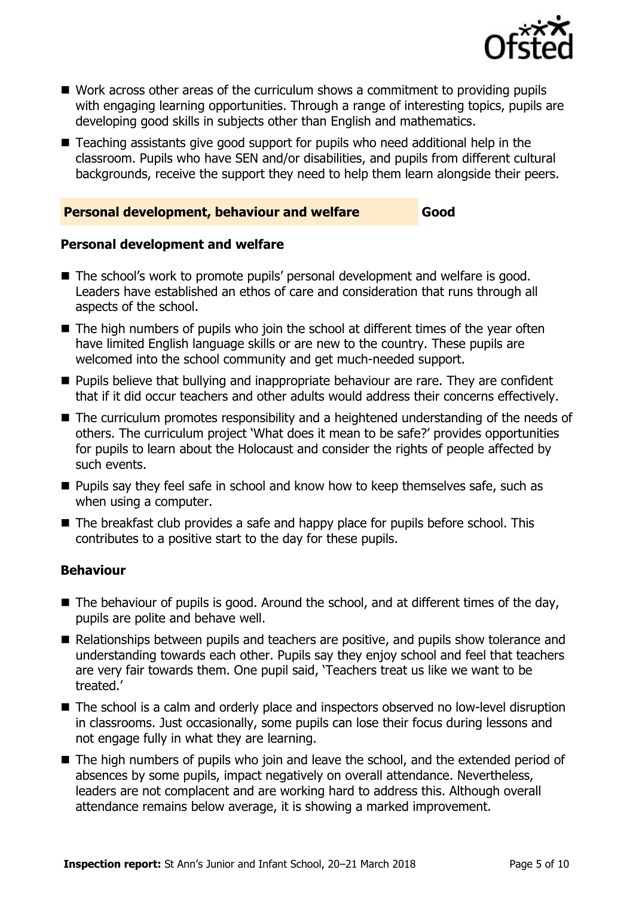

- Work across other areas of the curriculum shows a commitment to providing pupils with engaging learning opportunities. Through a range of interesting topics, pupils are developing good skills in subjects other than English and mathematics.
- Teaching assistants give good support for pupils who need additional help in the classroom. Pupils who have SEN and/or disabilities, and pupils from different cultural backgrounds, receive the support they need to help them learn alongside their peers.

### **Personal development, behaviour and welfare Good**

### **Personal development and welfare**

- The school's work to promote pupils' personal development and welfare is good. Leaders have established an ethos of care and consideration that runs through all aspects of the school.
- $\blacksquare$  The high numbers of pupils who join the school at different times of the year often have limited English language skills or are new to the country. These pupils are welcomed into the school community and get much-needed support.
- **Pupils believe that bullying and inappropriate behaviour are rare. They are confident** that if it did occur teachers and other adults would address their concerns effectively.
- The curriculum promotes responsibility and a heightened understanding of the needs of others. The curriculum project 'What does it mean to be safe?' provides opportunities for pupils to learn about the Holocaust and consider the rights of people affected by such events.
- **Pupils say they feel safe in school and know how to keep themselves safe, such as** when using a computer.
- The breakfast club provides a safe and happy place for pupils before school. This contributes to a positive start to the day for these pupils.

### **Behaviour**

- $\blacksquare$  The behaviour of pupils is good. Around the school, and at different times of the day, pupils are polite and behave well.
- Relationships between pupils and teachers are positive, and pupils show tolerance and understanding towards each other. Pupils say they enjoy school and feel that teachers are very fair towards them. One pupil said, 'Teachers treat us like we want to be treated.'
- The school is a calm and orderly place and inspectors observed no low-level disruption in classrooms. Just occasionally, some pupils can lose their focus during lessons and not engage fully in what they are learning.
- The high numbers of pupils who join and leave the school, and the extended period of absences by some pupils, impact negatively on overall attendance. Nevertheless, leaders are not complacent and are working hard to address this. Although overall attendance remains below average, it is showing a marked improvement.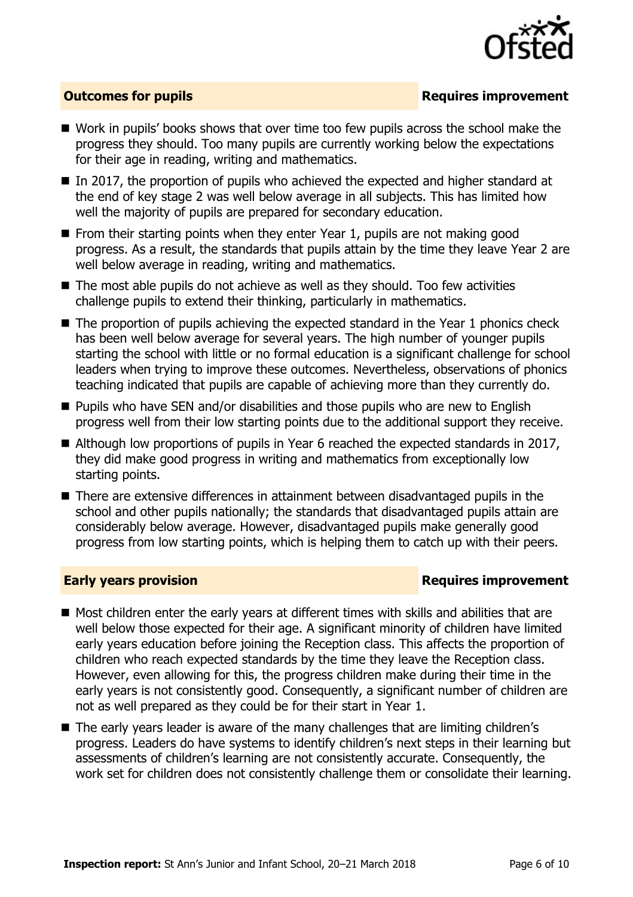

### **Outcomes for pupils Requires improvement**

- Work in pupils' books shows that over time too few pupils across the school make the progress they should. Too many pupils are currently working below the expectations for their age in reading, writing and mathematics.
- In 2017, the proportion of pupils who achieved the expected and higher standard at the end of key stage 2 was well below average in all subjects. This has limited how well the majority of pupils are prepared for secondary education.
- $\blacksquare$  From their starting points when they enter Year 1, pupils are not making good progress. As a result, the standards that pupils attain by the time they leave Year 2 are well below average in reading, writing and mathematics.
- $\blacksquare$  The most able pupils do not achieve as well as they should. Too few activities challenge pupils to extend their thinking, particularly in mathematics.
- $\blacksquare$  The proportion of pupils achieving the expected standard in the Year 1 phonics check has been well below average for several years. The high number of younger pupils starting the school with little or no formal education is a significant challenge for school leaders when trying to improve these outcomes. Nevertheless, observations of phonics teaching indicated that pupils are capable of achieving more than they currently do.
- **Pupils who have SEN and/or disabilities and those pupils who are new to English** progress well from their low starting points due to the additional support they receive.
- Although low proportions of pupils in Year 6 reached the expected standards in 2017, they did make good progress in writing and mathematics from exceptionally low starting points.
- There are extensive differences in attainment between disadvantaged pupils in the school and other pupils nationally; the standards that disadvantaged pupils attain are considerably below average. However, disadvantaged pupils make generally good progress from low starting points, which is helping them to catch up with their peers.

### **Early years provision Requires improvement**

- Most children enter the early years at different times with skills and abilities that are well below those expected for their age. A significant minority of children have limited early years education before joining the Reception class. This affects the proportion of children who reach expected standards by the time they leave the Reception class. However, even allowing for this, the progress children make during their time in the early years is not consistently good. Consequently, a significant number of children are not as well prepared as they could be for their start in Year 1.
- The early years leader is aware of the many challenges that are limiting children's progress. Leaders do have systems to identify children's next steps in their learning but assessments of children's learning are not consistently accurate. Consequently, the work set for children does not consistently challenge them or consolidate their learning.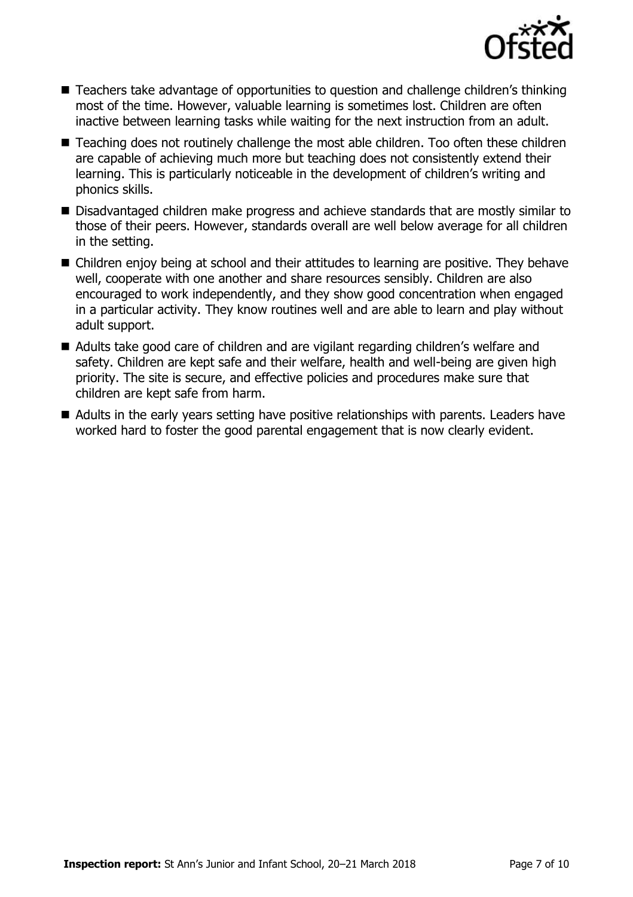

- Teachers take advantage of opportunities to question and challenge children's thinking most of the time. However, valuable learning is sometimes lost. Children are often inactive between learning tasks while waiting for the next instruction from an adult.
- Teaching does not routinely challenge the most able children. Too often these children are capable of achieving much more but teaching does not consistently extend their learning. This is particularly noticeable in the development of children's writing and phonics skills.
- Disadvantaged children make progress and achieve standards that are mostly similar to those of their peers. However, standards overall are well below average for all children in the setting.
- Children enjoy being at school and their attitudes to learning are positive. They behave well, cooperate with one another and share resources sensibly. Children are also encouraged to work independently, and they show good concentration when engaged in a particular activity. They know routines well and are able to learn and play without adult support.
- Adults take good care of children and are vigilant regarding children's welfare and safety. Children are kept safe and their welfare, health and well-being are given high priority. The site is secure, and effective policies and procedures make sure that children are kept safe from harm.
- Adults in the early years setting have positive relationships with parents. Leaders have worked hard to foster the good parental engagement that is now clearly evident.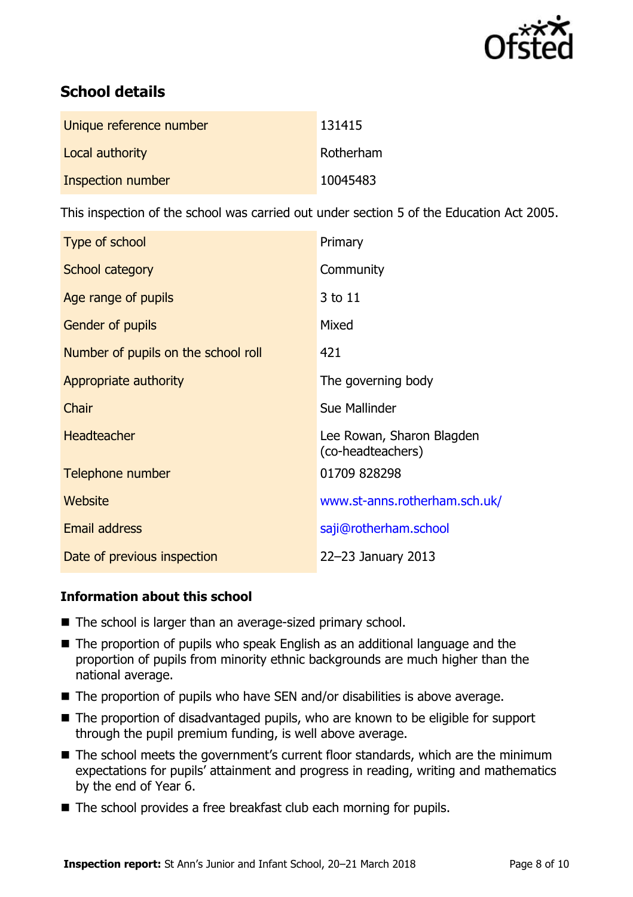

# **School details**

| Unique reference number | 131415    |
|-------------------------|-----------|
| Local authority         | Rotherham |
| Inspection number       | 10045483  |

This inspection of the school was carried out under section 5 of the Education Act 2005.

| Type of school                      | Primary                                        |
|-------------------------------------|------------------------------------------------|
| School category                     | Community                                      |
| Age range of pupils                 | 3 to 11                                        |
| <b>Gender of pupils</b>             | Mixed                                          |
| Number of pupils on the school roll | 421                                            |
| Appropriate authority               | The governing body                             |
| Chair                               | Sue Mallinder                                  |
| <b>Headteacher</b>                  | Lee Rowan, Sharon Blagden<br>(co-headteachers) |
| Telephone number                    | 01709 828298                                   |
| Website                             | www.st-anns.rotherham.sch.uk/                  |
| <b>Email address</b>                | saji@rotherham.school                          |
| Date of previous inspection         | 22-23 January 2013                             |

### **Information about this school**

- The school is larger than an average-sized primary school.
- The proportion of pupils who speak English as an additional language and the proportion of pupils from minority ethnic backgrounds are much higher than the national average.
- The proportion of pupils who have SEN and/or disabilities is above average.
- The proportion of disadvantaged pupils, who are known to be eligible for support through the pupil premium funding, is well above average.
- The school meets the government's current floor standards, which are the minimum expectations for pupils' attainment and progress in reading, writing and mathematics by the end of Year 6.
- The school provides a free breakfast club each morning for pupils.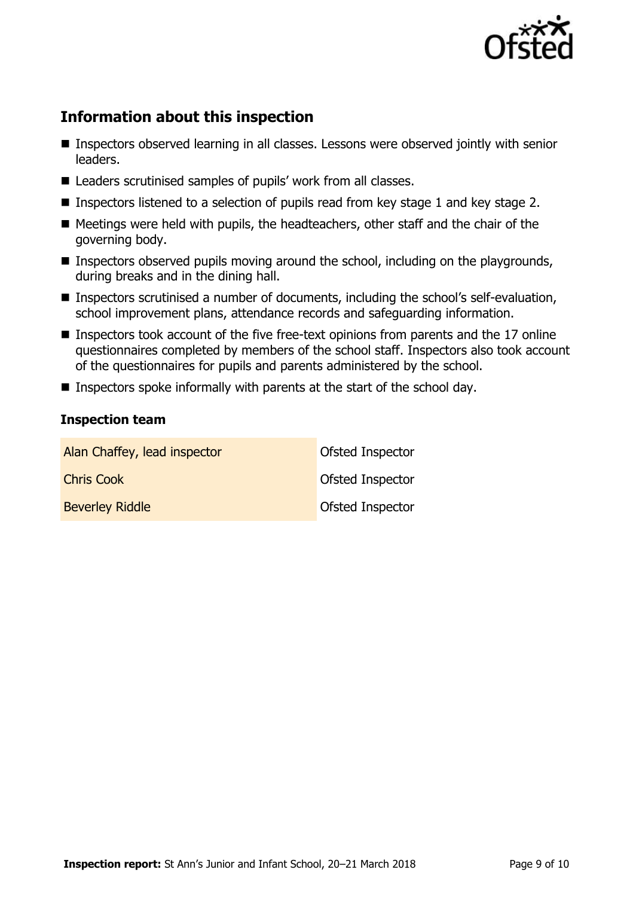

# **Information about this inspection**

- Inspectors observed learning in all classes. Lessons were observed jointly with senior leaders.
- Leaders scrutinised samples of pupils' work from all classes.
- Inspectors listened to a selection of pupils read from key stage 1 and key stage 2.
- Meetings were held with pupils, the headteachers, other staff and the chair of the governing body.
- **Inspectors observed pupils moving around the school, including on the playgrounds,** during breaks and in the dining hall.
- **Inspectors scrutinised a number of documents, including the school's self-evaluation,** school improvement plans, attendance records and safeguarding information.
- Inspectors took account of the five free-text opinions from parents and the 17 online questionnaires completed by members of the school staff. Inspectors also took account of the questionnaires for pupils and parents administered by the school.
- Inspectors spoke informally with parents at the start of the school day.

### **Inspection team**

| Alan Chaffey, lead inspector | Ofsted Inspector        |
|------------------------------|-------------------------|
| <b>Chris Cook</b>            | <b>Ofsted Inspector</b> |
| <b>Beverley Riddle</b>       | Ofsted Inspector        |